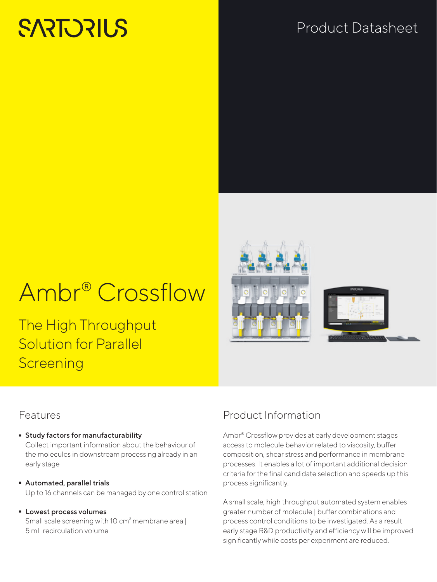# **SARTORILS**

## Product Datasheet

# Ambr® Crossflow

The High Throughput Solution for Parallel **Screening** 



#### Features

- **Study factors for manufacturability**<br>Collect important information about the behaviour of the molecules in downstream processing already in an early stage
- Automated, parallel trials Up to 16 channels can be managed by one control station
- Lowest process volumes Small scale screening with 10 cm² membrane area| 5 mL recirculation volume

### Product Information

Ambr® Crossflow provides at early development stages access to molecule behavior related to viscosity, buffer composition, shear stress and performance in membrane processes. It enables a lot of important additional decision criteria for the final candidate selection and speeds up this process significantly.

A small scale, high throughput automated system enables greater number of molecule | buffer combinations and process control conditions to be investigated. As a result early stage R&D productivity and efficiency will be improved significantly while costs per experiment are reduced.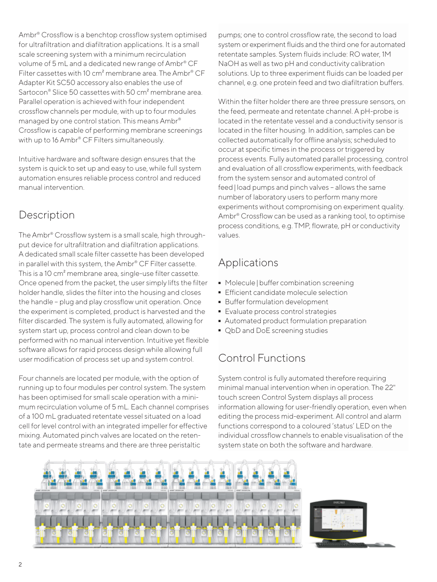Ambr® Crossflow is a benchtop crossflow system optimised for ultrafiltration and diafiltration applications. It is a small scale screening system with a minimum recirculation volume of 5 mL and a dedicated new range of Ambr® CF Filter cassettes with 10 cm² membrane area. The Ambr® CF Adapter Kit SC50 accessory also enables the use of Sartocon® Slice 50 cassettes with 50 cm<sup>2</sup> membrane area. Parallel operation is achieved with four independent crossflow channels per module, with up to four modules managed by one control station. This means Ambr® Crossflow is capable of performing membrane screenings with up to 16 Ambr® CF Filters simultaneously.

Intuitive hardware and software design ensures that the system is quick to set up and easy to use, while full system automation ensures reliable process control and reduced manual intervention.

#### Description

The Ambr® Crossflow system is a small scale, high throughput device for ultrafiltration and diafiltration applications. A dedicated small scale filter cassette has been developed in parallel with this system, the Ambr® CF Filter cassette. This is a 10 cm² membrane area, single-use filter cassette. Once opened from the packet, the user simply lifts the filter holder handle, slides the filter into the housing and closes the handle – plug and play crossflow unit operation. Once the experiment is completed, product is harvested and the filter discarded. The system is fully automated, allowing for system start up, process control and clean down to be performed with no manual intervention. Intuitive yet flexible software allows for rapid process design while allowing full user modification of process set up and system control.

Four channels are located per module, with the option of running up to four modules per control system. The system has been optimised for small scale operation with a minimum recirculation volume of 5 mL. Each channel comprises of a 100 mL graduated retentate vessel situated on a load cell for level control with an integrated impeller for effective mixing. Automated pinch valves are located on the retentate and permeate streams and there are three peristaltic

pumps; one to control crossflow rate, the second to load system or experiment fluids and the third one for automated retentate samples. System fluids include: RO water, 1M NaOH as well as two pH and conductivity calibration solutions. Up to three experiment fluids can be loaded per channel, e.g. one protein feed and two diafiltration buffers.

Within the filter holder there are three pressure sensors, on the feed, permeate and retentate channel. A pH-probe is located in the retentate vessel and a conductivity sensor is located in the filter housing. In addition, samples can be collected automatically for offline analysis; scheduled to occur at specific times in the process or triggered by process events. Fully automated parallel processing, control and evaluation of all crossflow experiments, with feedback from the system sensor and automated control of feed|load pumps and pinch valves – allows the same number of laboratory users to perform many more experiments without compromising on experiment quality. Ambr® Crossflow can be used as a ranking tool, to optimise process conditions, e.g. TMP, flowrate, pH or conductivity values.

#### Applications

- Molecule | buffer combination screening<br>■ Efficient candidate molecule selection
- 
- Buffer formulation development
- Evaluate process control strategies
- Evaluate process control strategies ■ Automated product formulation preparation<br>■ QbD and DoE screening studies
- QbD and DoE screening studies

### Control Functions

System control is fully automated therefore requiring minimal manual intervention when in operation. The 22" touch screen Control System displays all process information allowing for user-friendly operation, even when editing the process mid-experiment. All control and alarm functions correspond to a coloured 'status' LED on the individual crossflow channels to enable visualisation of the system state on both the software and hardware.



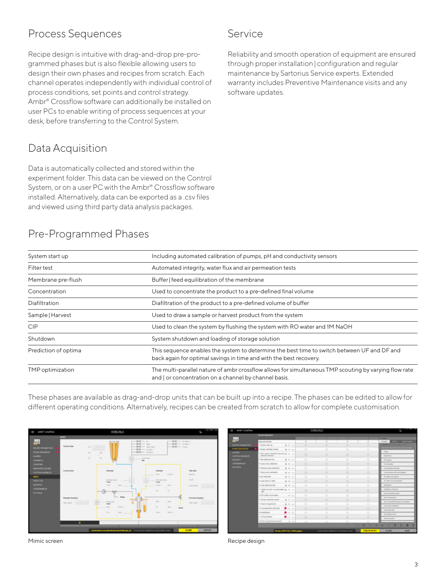#### Process Sequences

Recipe design is intuitive with drag-and-drop pre-programmed phases but is also flexible allowing users to design their own phases and recipes from scratch. Each channel operates independently with individual control of process conditions, set points and control strategy. Ambr® Crossflow software can additionally be installed on user PCs to enable writing of process sequences at your desk, before transferring to the Control System.

#### Data Acquisition

Data is automatically collected and stored within the experiment folder. This data can be viewed on the Control System, or on a user PC with the Ambr® Crossflow software installed. Alternatively, data can be exported as a .csv files and viewed using third party data analysis packages.

#### Pre-Programmed Phases

| System start up      | Including automated calibration of pumps, pH and conductivity sensors                                                                                             |  |  |
|----------------------|-------------------------------------------------------------------------------------------------------------------------------------------------------------------|--|--|
| Filter test          | Automated integrity, water flux and air permeation tests                                                                                                          |  |  |
| Membrane pre-flush   | Buffer   feed equilibration of the membrane                                                                                                                       |  |  |
| Concentration        | Used to concentrate the product to a pre-defined final volume                                                                                                     |  |  |
| Diafiltration        | Diafiltration of the product to a pre-defined volume of buffer                                                                                                    |  |  |
| Sample   Harvest     | Used to draw a sample or harvest product from the system                                                                                                          |  |  |
| <b>CIP</b>           | Used to clean the system by flushing the system with RO water and 1M NaOH                                                                                         |  |  |
| Shutdown             | System shutdown and loading of storage solution                                                                                                                   |  |  |
| Prediction of optima | This sequence enables the system to determine the best time to switch between UF and DF and<br>back again for optimal savings in time and with the best recovery. |  |  |
| TMP optimization     | The multi-parallel nature of ambr crossflow allows for simultaneous TMP scouting by varying flow rate<br>and   or concentration on a channel by channel basis.    |  |  |

Service

These phases are available as drag-and-drop units that can be built up into a recipe. The phases can be edited to allow for different operating conditions. Alternatively, recipes can be created from scratch to allow for complete customisation.



|                                  |                                                                |                                           |                          | <b>COMPANY STATES</b> |                            |                          |                                                 |
|----------------------------------|----------------------------------------------------------------|-------------------------------------------|--------------------------|-----------------------|----------------------------|--------------------------|-------------------------------------------------|
|                                  | Printed Strip Film 1                                           |                                           |                          |                       |                            |                          |                                                 |
| <b>AAK</b>                       |                                                                |                                           |                          | ٠                     |                            | ٠                        | <b>A Series</b>                                 |
|                                  | <b><i><u>Research</u></i></b> Theoretic                        |                                           | $\overline{\phantom{a}}$ | v                     | v                          | $\overline{\phantom{a}}$ | Property on                                     |
| <b>MECHER</b>                    | 1 European siteri us:                                          | $k = -$                                   | o                        | $\circ$               | o                          | o                        | <b>STATES FOR JOINT TORNEY TO BE</b>            |
| POLICE MARKET                    | 2 Empty televisie usuani                                       | $2 - 1$                                   | ×                        | ۰                     | $\circ$                    | o                        | Power                                           |
| <b>ALANME</b><br>CUSTOM WARNABLE | I Tare sensed, referrinks large and & ---<br>DESIGNED SERVICES |                                           | $\circ$                  | $\circ$               | O.                         | ö                        | <b>Bulletin</b>                                 |
| <b>BEFORES</b>                   | 4 Gas Aphinese land                                            | $4 - 1$                                   | $\circ$                  | ۰                     | O.                         | o                        | <b>CAT summer</b>                               |
| CONTINUES IS                     | Elizabeth pump satisfaction                                    | $4 - 1$                                   | $\circ$                  | o                     | $\circ$                    | o                        | Geography                                       |
| <b>MITHOR</b>                    | 5 Sanyar pump callentos                                        | $n - 1$                                   | ó                        | ó                     | ö                          | ö                        | Contractorize adhiesel                          |
|                                  | 7 Feed pump carboatics:                                        | $8 - 1$                                   | ۰                        | o                     | o                          | Ō.                       | Concertainty will load Calmedo                  |
|                                  | <b>E-più callinatore</b>                                       | $8 - 4$                                   | ó                        | o                     | o                          | ó.                       | DF tollar recitations                           |
|                                  | <b>Elizabet proto CF Black</b>                                 | $2 - 4$                                   | $\circ$                  | $\circ$               | $\circ$                    | $\circ$                  | DF bulks was and/earnist                        |
|                                  | 10 Gos Hall Executions                                         | $8 - 1$                                   | $\circ$                  | o                     | $\circ$                    | O.                       | Delfeston                                       |
|                                  | 11 Holey for led, at perheater & co. w<br><b>State</b>         |                                           | ó                        | ö                     | o                          | Ö.                       | <b>Delfaster Datest</b>                         |
|                                  | G OF A die recented on                                         | $-1$                                      | ō                        | $\circ$               | $\circ$                    | o                        | Empty intertake record                          |
|                                  | 13 double relationship school.                                 | $4 - 1$                                   | o                        | ۰                     | $\circ$                    | a                        | Estategorisan                                   |
|                                  | St Start of experiment                                         | $\frac{1}{2}$ $\rightarrow$ $\rightarrow$ | $\circ$                  | $\circ$               | $\circ$                    | o                        | Entire experiment product inconsistent          |
|                                  | 16 Concentrativi: with load                                    | $\bullet -$                               | $\circ$                  | $\circ$               | $\circ$                    | O.                       | Fast pres releater<br><b>Eluzik Associators</b> |
|                                  | 14 Charlesview                                                 | $\bullet -$                               | $\circ$                  | ó                     | ö                          | O.                       | First Hydrocan Heal                             |
|                                  | 17 Concentration                                               | $\bullet -$                               | $\circ$                  | $\circ$               | $\circ$                    | o.                       | <b>Harvest product</b>                          |
|                                  | fit (End of stammers for brill &F                              | $-$                                       | <b>STAR</b>              |                       | $\mathcal{M}_{\mathrm{c}}$ | $\sim$                   |                                                 |
|                                  |                                                                |                                           |                          |                       |                            | в<br>×<br>۰              | п<br>۰                                          |
|                                  |                                                                | Recipe (MOTOR, TORA pages)                |                          | Oceans                | Language .                 | <b>CREATE BARDS</b>      | <b>GLOSE</b><br><b>BAVE</b>                     |

Mimic screen **Mimic screen** Recipe design

Reliability and smooth operation of equipment are ensured through proper installation | configuration and regular maintenance by Sartorius Service experts. Extended warranty includes Preventive Maintenance visits and any software updates.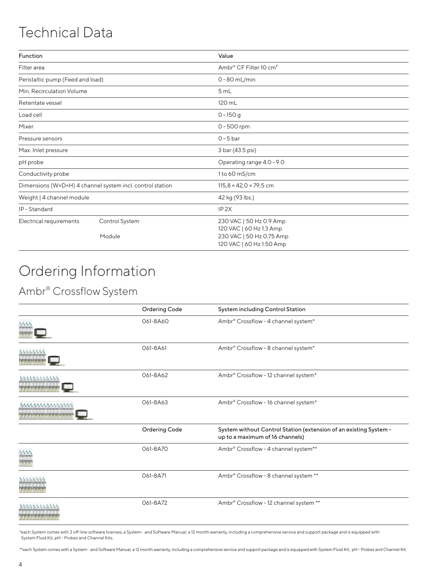### Technical Data

| Function                                                  |                          | Value                                                                                                      |  |  |
|-----------------------------------------------------------|--------------------------|------------------------------------------------------------------------------------------------------------|--|--|
| Filter area                                               |                          | Ambr® CF Filter 10 cm <sup>2</sup>                                                                         |  |  |
| Peristaltic pump (Feed and load)                          |                          | $0 - 80$ mL/min                                                                                            |  |  |
| Min. Recirculation Volume                                 |                          | 5 mL                                                                                                       |  |  |
| Retentate vessel                                          |                          | 120 mL                                                                                                     |  |  |
| Load cell                                                 |                          | $0 - 150$ g                                                                                                |  |  |
| Mixer                                                     |                          | $0 - 500$ rpm                                                                                              |  |  |
| Pressure sensors                                          |                          | $0 - 5$ bar                                                                                                |  |  |
| Max. Inlet pressure                                       |                          | 3 bar (43.5 psi)                                                                                           |  |  |
| pH probe                                                  |                          | Operating range 4.0-9.0                                                                                    |  |  |
| Conductivity probe                                        |                          | 1 to 60 mS/cm                                                                                              |  |  |
| Dimensions (W×D×H) 4 channel system incl. control station |                          | $115,8 \times 42,0 \times 79,5$ cm                                                                         |  |  |
| Weight   4 channel module                                 |                          | 42 kg (93 lbs.)                                                                                            |  |  |
| IP-Standard                                               |                          | IP <sub>2X</sub>                                                                                           |  |  |
| Electrical requirements                                   | Control System<br>Module | 230 VAC   50 Hz 0.9 Amp<br>120 VAC   60 Hz 1.3 Amp<br>230 VAC   50 Hz 0.75 Amp<br>120 VAC   60 Hz 1.50 Amp |  |  |

# Ordering Information

#### Ambr® Crossflow System

|             | <b>Ordering Code</b> | System including Control Station                                                                     |  |  |  |
|-------------|----------------------|------------------------------------------------------------------------------------------------------|--|--|--|
|             | 061-8A60             | Ambr® Crossflow - 4 channel system*                                                                  |  |  |  |
|             | 061-8A61             | Ambr® Crossflow - 8 channel system*                                                                  |  |  |  |
| 55555555555 | 061-8A62             | Ambr® Crossflow - 12 channel system*                                                                 |  |  |  |
| 55535555555 | 061-8A63             | Ambr® Crossflow - 16 channel system*                                                                 |  |  |  |
|             | <b>Ordering Code</b> | System without Control Station (extension of an existing System -<br>up to a maximum of 16 channels) |  |  |  |
|             | 061-8A70             | Ambr® Crossflow - 4 channel system**                                                                 |  |  |  |
|             | 061-8A71             | Ambr <sup>®</sup> Crossflow - 8 channel system **                                                    |  |  |  |
|             | 061-8A72             | Ambr <sup>®</sup> Crossflow - 12 channel system **                                                   |  |  |  |

\*each System comes with 3 off-line software licenses, a System- and Software Manual, a 12 month warranty, including a comprehensive service and support package and is equipped with System Fluid Kit, pH - Probes and Channel Kits.

\*\*each System comes with a System- and Software Manual, a 12 month warranty, including a comprehensive service and support package and is equipped with System Fluid Kit, pH - Probes and Channel Kit.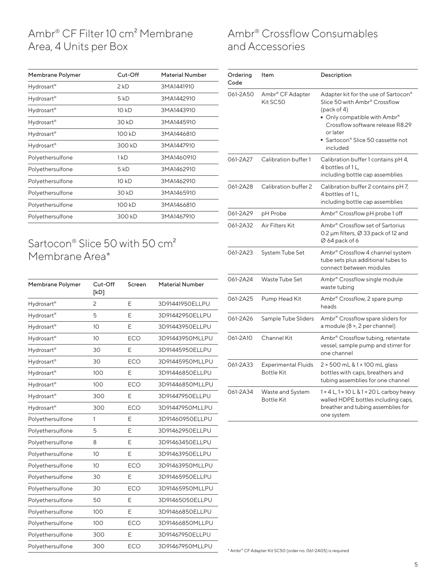#### Ambr® CF Filter 10 cm² Membrane Area, 4 Units per Box

| Membrane Polymer       | Cut-Off | <b>Material Number</b> |
|------------------------|---------|------------------------|
| Hydrosart®             | 2 kD    | 3MA1441910             |
| Hydrosart <sup>®</sup> | 5 kD    | 3MA1442910             |
| Hydrosart®             | 10 kD   | 3MA1443910             |
| Hydrosart®             | 30 kD   | 3MA1445910             |
| Hydrosart <sup>®</sup> | 100 kD  | 3MA1446810             |
| Hydrosart®             | 300 kD  | 3MA1447910             |
| Polyethersulfone       | 1 kD    | 3MA1460910             |
| Polyethersulfone       | 5 kD    | 3MA1462910             |
| Polyethersulfone       | 10 kD   | 3MA1462910             |
| Polyethersulfone       | 30 kD   | 3MA1465910             |
| Polyethersulfone       | 100 kD  | 3MA1466810             |
| Polyethersulfone       | 300 kD  | 3MA1467910             |
|                        |         |                        |

#### Sartocon® Slice 50 with 50 cm² Membrane Area\*

| Membrane Polymer       | Cut-Off<br>[kD] | Screen     | <b>Material Number</b> |
|------------------------|-----------------|------------|------------------------|
| Hydrosart®             | 2               | Е          | 3D91441950ELLPU        |
| Hydrosart <sup>®</sup> | 5               | E          | 3D91442950ELLPU        |
| Hydrosart <sup>®</sup> | 10              | Е          | 3D91443950ELLPU        |
| Hydrosart <sup>®</sup> | 10              | <b>ECO</b> | 3D91443950MLLPU        |
| Hydrosart <sup>®</sup> | 30              | Е          | 3D91445950ELLPU        |
| Hydrosart <sup>®</sup> | 30              | <b>ECO</b> | 3D91445950MLLPU        |
| Hydrosart <sup>®</sup> | 100             | F          | 3D91446850ELLPU        |
| Hydrosart <sup>®</sup> | 100             | <b>ECO</b> | 3D91446850MLLPU        |
| Hydrosart <sup>®</sup> | 300             | F          | 3D91447950ELLPU        |
| Hydrosart®             | 300             | ECO        | 3D91447950MLLPU        |
| Polyethersulfone       | 1               | E          | 3D91460950ELLPU        |
| Polyethersulfone       | 5               | E          | 3D91462950ELLPU        |
| Polyethersulfone       | 8               | E          | 3D91463450ELLPU        |
| Polyethersulfone       | 10              | E          | 3D91463950ELLPU        |
| Polyethersulfone       | 10              | <b>ECO</b> | 3D91463950MLLPU        |
| Polyethersulfone       | 30              | E          | 3D91465950ELLPU        |
| Polyethersulfone       | 30              | <b>ECO</b> | 3D91465950MLLPU        |
| Polyethersulfone       | 50              | E          | 3D91465050ELLPU        |
| Polyethersulfone       | 100             | Ε          | 3D91466850ELLPU        |
| Polyethersulfone       | 100             | <b>ECO</b> | 3D91466850MLLPU        |
| Polyethersulfone       | 300             | E          | 3D91467950ELLPU        |
| Polyethersulfone       | 300             | <b>ECO</b> | 3D91467950MLLPU        |
|                        |                 |            |                        |

#### Ambr® Crossflow Consumables and Accessories

| Ordering<br>Code | Item                                            | Description                                                                                                                                                                                                           |
|------------------|-------------------------------------------------|-----------------------------------------------------------------------------------------------------------------------------------------------------------------------------------------------------------------------|
| 061-2A50         | Ambr® CF Adapter<br>Kit SC50                    | Adapter kit for the use of Sartocon®<br>Slice 50 with Ambr® Crossflow<br>(pack of 4)<br>■ Only compatible with Ambr®<br>Crossflow software release R8.29<br>or later<br>• Sartocon® Slice 50 cassette not<br>included |
| 061-2A27         | Calibration buffer 1                            | Calibration buffer 1 contains pH 4,<br>4 bottles of 1 L,<br>including bottle cap assemblies                                                                                                                           |
| 061-2A28         | Calibration buffer 2                            | Calibration buffer 2 contains pH7,<br>4 bottles of 1L,<br>including bottle cap assemblies                                                                                                                             |
| 061-2A29         | pH Probe                                        | Ambr <sup>®</sup> Crossflow pH probe 1 off                                                                                                                                                                            |
| 061-2A32         | Air Filters Kit                                 | Ambr <sup>®</sup> Crossflow set of Sartorius<br>0.2 µm filters, Ø 33 pack of 12 and<br>Ø 64 pack of 6                                                                                                                 |
| 061-2A23         | <b>System Tube Set</b>                          | Ambr® Crossflow 4 channel system<br>tube sets plus additional tubes to<br>connect between modules                                                                                                                     |
| 061-2A24         | Waste Tube Set                                  | Ambr <sup>®</sup> Crossflow single module<br>waste tubing                                                                                                                                                             |
| 061-2A25         | Pump Head Kit                                   | Ambr <sup>®</sup> Crossflow, 2 spare pump<br>heads                                                                                                                                                                    |
| 061-2A26         | Sample Tube Sliders                             | Ambr <sup>®</sup> Crossflow spare sliders for<br>a module (8 ×, 2 per channel)                                                                                                                                        |
| 061-2A10         | Channel Kit                                     | Ambr® Crossflow tubing, retentate<br>vessel, sample pump and stirrer for<br>one channel                                                                                                                               |
| 061-2A33         | <b>Experimental Fluids</b><br><b>Bottle Kit</b> | 2 × 500 mL & 1 × 100 mL glass<br>bottles with caps, breathers and<br>tubing assemblies for one channel                                                                                                                |
| 061-2A34         | Waste and System<br><b>Bottle Kit</b>           | 1 × 4 L, 1 × 10 L & 1 × 20 L carboy heavy<br>walled HDPE bottles including caps,<br>breather and tubing assemblies for<br>one system                                                                                  |

\* Ambr® CF Adapter Kit SC50 (order no. 061-2A05) is required